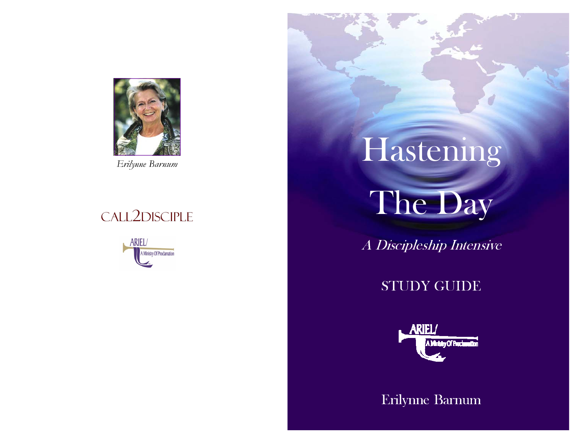

# CALL2DISCIPLE

**ARIEL/** Ministry Of Proclamation

# Erilynne Barnum Hastening

The Day

A Discipleship Intensive

## STUDY GUIDE



Erilynne Barnum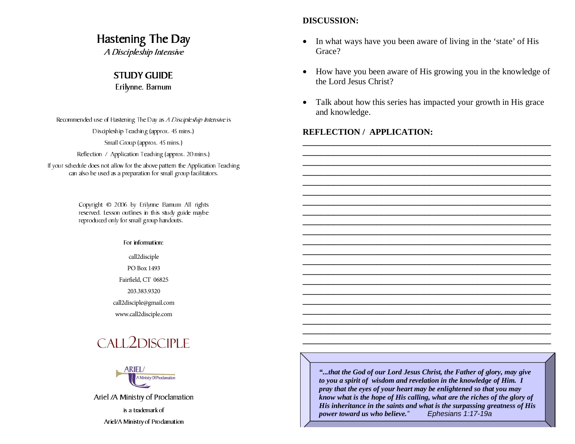### Hastening The Day

A Discipleship Intensive

#### STUDY GUIDE

Erilynne. Barnum

Recommended use of Hastening The Day as A Discipleship Intensive is Discipleship Teaching (approx. 45 mins.) Small Group (approx. 45 mins.) Reflection / Application Teaching (approx. 20 mins.)

If your schedule does not allow for the above pattern the Application Teaching can also be used as a preparation for small group facilitators.

> Copyright © 2006 by Erilynne Barnum All rights reserved. Lesson outlines in this study guide maybe reproduced only for small group handouts.

> > For information:

call2disciplePO Box 1493Fairfield, CT 06825 203.383.9320call2disciple@gmail.com

www.call2disciple.com

# CALL2DISCIPLE



Ariel /A Ministry of Proclamation

is a trademark of Ariel/A Ministry of Proclamation

#### **DISCUSSION:**

- • In what ways have you been aware of living in the 'state' of His Grace?
- • How have you been aware of His growing you in the knowledge of the Lord Jesus Christ?
- • Talk about how this series has impacted your growth in His grace and knowledge.

**\_\_\_\_\_\_\_\_\_\_\_\_\_\_\_\_\_\_\_\_\_\_\_\_\_\_\_\_\_\_\_\_\_\_\_\_\_\_\_\_\_\_\_\_\_\_\_\_\_\_\_\_\_\_\_\_\_ \_\_\_\_\_\_\_\_\_\_\_\_\_\_\_\_\_\_\_\_\_\_\_\_\_\_\_\_\_\_\_\_\_\_\_\_\_\_\_\_\_\_\_\_\_\_\_\_\_\_\_\_\_\_\_\_\_**

**\_\_\_\_\_\_\_\_\_\_\_\_\_\_\_\_\_\_\_\_\_\_\_\_\_\_\_\_\_\_\_\_\_\_\_\_\_\_\_\_\_\_\_\_\_\_\_\_\_\_\_\_\_\_\_\_\_ \_\_\_\_\_\_\_\_\_\_\_\_\_\_\_\_\_\_\_\_\_\_\_\_\_\_\_\_\_\_\_\_\_\_\_\_\_\_\_\_\_\_\_\_\_\_\_\_\_\_\_\_\_\_\_\_\_ \_\_\_\_\_\_\_\_\_\_\_\_\_\_\_\_\_\_\_\_\_\_\_\_\_\_\_\_\_\_\_\_\_\_\_\_\_\_\_\_\_\_\_\_\_\_\_\_\_\_\_\_\_\_\_\_\_**

**\_\_\_\_\_\_\_\_\_\_\_\_\_\_\_\_\_\_\_\_\_\_\_\_\_\_\_\_\_\_\_\_\_\_\_\_\_\_\_\_\_\_\_\_\_\_\_\_\_\_\_\_\_\_\_\_\_ \_\_\_\_\_\_\_\_\_\_\_\_\_\_\_\_\_\_\_\_\_\_\_\_\_\_\_\_\_\_\_\_\_\_\_\_\_\_\_\_\_\_\_\_\_\_\_\_\_\_\_\_\_\_\_\_\_ \_\_\_\_\_\_\_\_\_\_\_\_\_\_\_\_\_\_\_\_\_\_\_\_\_\_\_\_\_\_\_\_\_\_\_\_\_\_\_\_\_\_\_\_\_\_\_\_\_\_\_\_\_\_\_\_\_**

**\_\_\_\_\_\_\_\_\_\_\_\_\_\_\_\_\_\_\_\_\_\_\_\_\_\_\_\_\_\_\_\_\_\_\_\_\_\_\_\_\_\_\_\_\_\_\_\_\_\_\_\_\_\_\_\_\_ \_\_\_\_\_\_\_\_\_\_\_\_\_\_\_\_\_\_\_\_\_\_\_\_\_\_\_\_\_\_\_\_\_\_\_\_\_\_\_\_\_\_\_\_\_\_\_\_\_\_\_\_\_\_\_\_\_ \_\_\_\_\_\_\_\_\_\_\_\_\_\_\_\_\_\_\_\_\_\_\_\_\_\_\_\_\_\_\_\_\_\_\_\_\_\_\_\_\_\_\_\_\_\_\_\_\_\_\_\_\_\_\_\_\_**

**\_\_\_\_\_\_\_\_\_\_\_\_\_\_\_\_\_\_\_\_\_\_\_\_\_\_\_\_\_\_\_\_\_\_\_\_\_\_\_\_\_\_\_\_\_\_\_\_\_\_\_\_\_\_\_\_\_ \_\_\_\_\_\_\_\_\_\_\_\_\_\_\_\_\_\_\_\_\_\_\_\_\_\_\_\_\_\_\_\_\_\_\_\_\_\_\_\_\_\_\_\_\_\_\_\_\_\_\_\_\_\_\_\_\_**

#### **REFLECTION / APPLICATION:**

*"...that the God of our Lord Jesus Christ, the Father of glory, may give to you a spirit of wisdom and revelation in the knowledge of Him. I pray that the eyes of your heart may be enlightened so that you may know what is the hope of His calling, what are the riches of the glory of His inheritance in the saints and what is the surpassing greatness of His power toward us who believe." Ephesians 1:17-19a*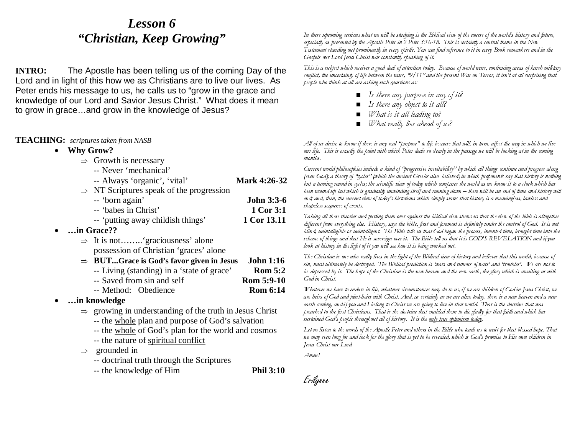## *Lesson 6 "Christian, Keep Growing"*

**INTRO:** The Apostle has been telling us of the coming Day of the Lord and in light of this how we as Christians are to live our lives. As Peter ends his message to us, he calls us to "grow in the grace and knowledge of our Lord and Savior Jesus Christ." What does it mean to grow in grace…and grow in the knowledge of Jesus?

#### **TEACHING:** *scriptures taken from NASB*

• **Why Grow?**

•

 $\Rightarrow$  Growth is necessary

| -- Never 'mechanical'    |                                    |
|--------------------------|------------------------------------|
| Always 'organia' (yital) | $M_{\odot}$ <sub>r</sub> $4.26$ 32 |

| -- Always Organic, Vital                             | NIATK 4.20-32     |
|------------------------------------------------------|-------------------|
| $\Rightarrow$ NT Scriptures speak of the progression |                   |
| -- 'born again'                                      | <b>John 3:3-6</b> |
| -- 'babes in Christ'                                 | 1 Cor 3:1         |
| -- 'putting away childish things'                    | 1 Cor 13.11       |
| in Grace??                                           |                   |
| $\Rightarrow$ It is not 'graciousness' alone         |                   |
| possession of Christian 'graces' alone               |                   |
| $\Rightarrow$ BUTGrace is God's favor given in Jesus | <b>John 1:16</b>  |
| -- Living (standing) in a 'state of grace'           | <b>Rom 5:2</b>    |
| -- Saved from sin and self                           | Rom 5:9-10        |
|                                                      |                   |

- -- Method: Obedience **Rom 6:14**
- • **…in knowledge**
	- ⇒ growing in understanding of the truth in Jesus Christ
		- -- the whole plan and purpose of God's salvation
		- -- the whole of God's plan for the world and cosmos
		- -- the nature of spiritual conflict
	- ⇒ grounded in
		- -- doctrinal truth through the Scriptures
		- -- the knowledge of Him **Phil 3:10**

In these upcoming sessions what we will be studying is the Biblical view of the course of the world's history and future, especially as presented by the Apostle Peter in 2 Peter 3:10-18. This is certainly a central theme in the New Testament standing out prominently in every epistle. You can find reference to it in every Book somewhere and in the Gospels our Lord Jesus Christ was constantly speaking of it.

This is a subject which receives a good deal of attention today. Because of world wars, continuing areas of harsh military conflict, the uncertainty of life between the wars, "9/11" and the present War on Terror, it isn't at all surprising that people who think at all are asking such questions as:

- $\blacksquare$  Is there any purpose in any of it?
- Is there any object to it all?
- $\blacksquare$ What is it all leading to?
- What really lies ahead of us?

All of us desire to know if there is any real "purpose" to life because that will, in turn, affect the way in which we live our life. This is exactly the point with which Peter deals so clearly in the passage we will be looking at in the coming months.

Current world philosophies include a kind of "progressive inevitability" by which all things continue and progress along (even God); a theory of "cycles" (which the ancient Greeks also believed) in which proponents say that history is nothing but a turning round in cycles; the scientific view of today which compares the world as we know it to a clock which has been wound up but which is gradually unwinding itself and running down – there will be an end of time and history will end; and, then, the current view of today's historians which simply states that history is a meaningless, lawless and shapeless sequence of events.

Taking all these theories and putting them over against the biblical view shows us that the view of the bible is altogether different from everything else. History, says the bible, first and foremost is definitely under the control of God. It is not blind, unintelligible or unintelligent. The Bible tells us that God began the process, invented time, brought time into the scheme of things and that He is sovereign over it. The Bible tell us that it is GOD'S REVELATION and if you look at history in the light of it you will see how it is being worked out.

The Christian is one who really lives in the light of the Biblical view of history and believes that this world, because of sin, must ultimately be destroyed. The Biblical prediction is 'wars and rumors of wars' and 'troubles'. We are not to be depressed by it. The hope of the Christian is the new heaven and the new earth, the glory which is awaiting us with God in Christ.

Whatever we have to endure in life, whatever circumstances may do to us, if we are children of God in Jesus Christ, we are heirs of God and joint-heirs with Christ. And, as certainly as we are alive today, there is a new heaven and a new earth coming, and if you and I belong to Christ we are going to live in that world. That is the doctrine that was preached to the first Christians. That is the doctrine that enabled them to die gladly for that faith and which has sustained God's people throughout all of history. It is the only true optimism today.

Let us listen to the words of the Apostle Peter and others in the Bible who teach us to wait for that blessed hope. That we may even long for and look for the glory that is yet to be revealed, which is God's promise to His own children in Jesus Christ our Lord.

Amen!

Erilynne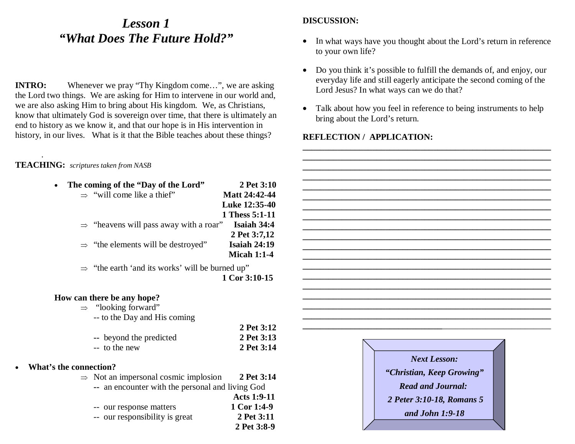## *Lesson 1 "What Does The Future Hold?"*

**INTRO:** Whenever we pray "Thy Kingdom come...", we are asking the Lord two things. We are asking for Him to intervene in our world and, we are also asking Him to bring about His kingdom. We, as Christians, know that ultimately God is sovereign over time, that there is ultimately an end to history as we know it, and that our hope is in His intervention in history, in our lives. What is it that the Bible teaches about these things?

#### **TEACHING:** *scriptures taken from NASB*

.

•

**What's** 

|                   | The coming of the "Day of the Lord"                         | 2 Pet 3:10          |
|-------------------|-------------------------------------------------------------|---------------------|
|                   | $\Rightarrow$ "will come like a thief"                      | Matt 24:42-44       |
|                   |                                                             | Luke 12:35-40       |
|                   |                                                             | 1 Thess 5:1-11      |
|                   | $\Rightarrow$ "heavens will pass away with a roar"          | <b>Isaiah 34:4</b>  |
|                   |                                                             | 2 Pet 3:7,12        |
|                   | $\Rightarrow$ "the elements will be destroyed"              | <b>Isaiah 24:19</b> |
|                   |                                                             | <b>Micah 1:1-4</b>  |
|                   | $\Rightarrow$ "the earth 'and its works' will be burned up" |                     |
|                   |                                                             | 1 Cor 3:10-15       |
|                   |                                                             |                     |
|                   | How can there be any hope?                                  |                     |
|                   | $\Rightarrow$ "looking forward"                             |                     |
|                   | -- to the Day and His coming                                |                     |
|                   |                                                             | 2 Pet 3:12          |
|                   | -- beyond the predicted                                     | 2 Pet 3:13          |
|                   | -- to the new                                               | 2 Pet 3:14          |
|                   |                                                             |                     |
| s the connection? |                                                             |                     |
|                   | $\Rightarrow$ Not an impersonal cosmic implosion            | 2 Pet 3:14          |
|                   | -- an encounter with the personal and living God            |                     |
|                   |                                                             | <b>Acts 1:9-11</b>  |
|                   | -- our response matters                                     | 1 Cor 1:4-9         |
|                   | -- our responsibility is great                              | 2 Pet 3:11          |
|                   |                                                             | 2 Pet 3:8-9         |

#### **DISCUSSION:**

- • In what ways have you thought about the Lord's return in reference to your own life?
- • Do you think it's possible to fulfill the demands of, and enjoy, our everyday life and still eagerly anticipate the second coming of the Lord Jesus? In what ways can we do that?
- • Talk about how you feel in reference to being instruments to help bring about the Lord's return.

#### **REFLECTION / APPLICATION:**



*Read and Journal: 2 Peter 3:10-18, Romans 5 and John 1:9-18*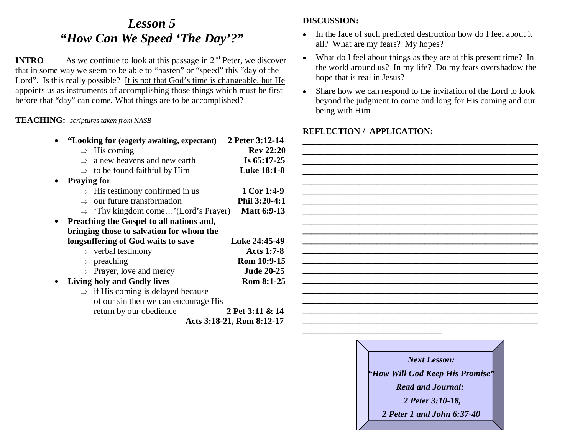## *Lesson 5 "How Can We Speed 'The Day'?"*

**INTRO** As we continue to look at this passage in  $2<sup>nd</sup>$  Peter, we discover that in some way we seem to be able to "hasten" or "speed" this "day of the Lord". Is this really possible? It is not that God's time is changeable, but He appoints us as instruments of accomplishing those things which must be first before that "day" can come. What things are to be accomplished?

#### **TEACHING:** *scriptures taken from NASB*

| "Looking for (eagerly awaiting, expectant)      | 2 Peter 3:12-14           |
|-------------------------------------------------|---------------------------|
| $\Rightarrow$ His coming                        | <b>Rev 22:20</b>          |
| $\Rightarrow$ a new heavens and new earth       | Is $65:17-25$             |
| $\Rightarrow$ to be found faithful by Him       | <b>Luke 18:1-8</b>        |
| <b>Praying for</b>                              |                           |
| $\Rightarrow$ His testimony confirmed in us     | 1 Cor 1:4-9               |
| $\Rightarrow$ our future transformation         | Phil 3:20-4:1             |
| $\Rightarrow$ 'Thy kingdom come'(Lord's Prayer) | <b>Matt 6:9-13</b>        |
| Preaching the Gospel to all nations and,        |                           |
| bringing those to salvation for whom the        |                           |
| longsuffering of God waits to save              | Luke 24:45-49             |
| $\Rightarrow$ verbal testimony                  | <b>Acts 1:7-8</b>         |
| $\Rightarrow$ preaching                         | Rom 10:9-15               |
| $\Rightarrow$ Prayer, love and mercy            | <b>Jude 20-25</b>         |
| <b>Living holy and Godly lives</b>              | <b>Rom 8:1-25</b>         |
| $\Rightarrow$ if His coming is delayed because  |                           |
| of our sin then we can encourage His            |                           |
| return by our obedience                         | 2 Pet 3:11 & 14           |
|                                                 | Acts 3:18-21, Rom 8:12-17 |
|                                                 |                           |

#### **DISCUSSION:**

- • In the face of such predicted destruction how do I feel about it all? What are my fears? My hopes?
- • What do I feel about things as they are at this present time? In the world around us? In my life? Do my fears overshadow the hope that is real in Jesus?
- • Share how we can respond to the invitation of the Lord to look beyond the judgment to come and long for His coming and our being with Him.



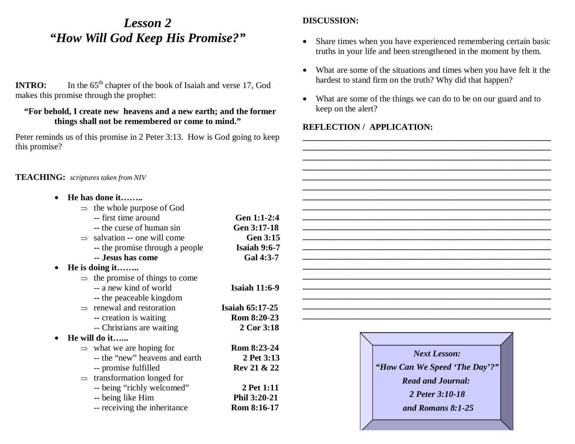## *Lesson 2 "How Will God Keep His Promise?"*

**INTRO:** In the 65<sup>th</sup> chapter of the book of Isaiah and verse 17, God makes this promise through the prophet:

#### **"For behold, I create new heavens and a new earth; and the former things shall not be remembered or come to mind."**

Peter reminds us of this promise in 2 Peter 3:13. How is God going to keep this promise?

#### **TEACHING:** *scriptures taken from NIV*

• **He has done it……..**  $\Rightarrow$  the whole purpose of God -- first time around **Gen 1:1-2:4 --** the curse of human sin **Gen 3:17-18**  $\Rightarrow$  salvation -- one will come **Gen 3:15 --** the promise through a people **Isaiah 9:6-7 -- Jesus has come Gal 4:3-7**• **He is doing it……..** ⇒ the promise of things to come -- a new kind of world **Isaiah 11:6-9 --** the peaceable kingdom ⇒ renewal and restoration **Isaiah 65:17-25 --** creation is waiting **Rom 8:20-23**  -- Christians are waiting **2 Cor 3:18** • **He will do it…...**  $\Rightarrow$  what we are hoping for **Rom 8:23-24** -- the "new" heavens and earth **2 Pet 3:13**-- promise fulfilled **Rev 21 & 22** ⇒ transformation longed for -- being "richly welcomed" **2 Pet 1:11 --** being like Him **Phil 3:20-21**  -- receiving the inheritance **Rom 8:16-17**

#### **DISCUSSION:**

- • Share times when you have experienced remembering certain basic truths in your life and been strengthened in the moment by them.
- • What are some of the situations and times when you have felt it the hardest to stand firm on the truth? Why did that happen?
- $\bullet$  What are some of the things we can do to be on our guard and to keep on the alert?

**\_\_\_\_\_\_\_\_\_\_\_\_\_\_\_\_\_\_\_\_\_\_\_\_\_\_\_\_\_\_\_\_\_\_\_\_\_\_\_\_\_\_\_\_\_\_\_\_\_\_\_\_\_\_\_\_\_ \_\_\_\_\_\_\_\_\_\_\_\_\_\_\_\_\_\_\_\_\_\_\_\_\_\_\_\_\_\_\_\_\_\_\_\_\_\_\_\_\_\_\_\_\_\_\_\_\_\_\_\_\_\_\_\_\_ \_\_\_\_\_\_\_\_\_\_\_\_\_\_\_\_\_\_\_\_\_\_\_\_\_\_\_\_\_\_\_\_\_\_\_\_\_\_\_\_\_\_\_\_\_\_\_\_\_\_\_\_\_\_\_\_\_**

**\_\_\_\_\_\_\_\_\_\_\_\_\_\_\_\_\_\_\_\_\_\_\_\_\_\_\_\_\_\_\_\_\_\_\_\_\_\_\_\_\_\_\_\_\_\_\_\_\_\_\_\_\_\_\_\_\_ \_\_\_\_\_\_\_\_\_\_\_\_\_\_\_\_\_\_\_\_\_\_\_\_\_\_\_\_\_\_\_\_\_\_\_\_\_\_\_\_\_\_\_\_\_\_\_\_\_\_\_\_\_\_\_\_\_ \_\_\_\_\_\_\_\_\_\_\_\_\_\_\_\_\_\_\_\_\_\_\_\_\_\_\_\_\_\_\_\_\_\_\_\_\_\_\_\_\_\_\_\_\_\_\_\_\_\_\_\_\_\_\_\_\_**

| <b>Next Lesson:</b><br>"How Can We Speed 'The Day'?"<br><b>Read and Journal:</b><br>2 Peter 3:10-18<br>and Romans 8:1-25 |
|--------------------------------------------------------------------------------------------------------------------------|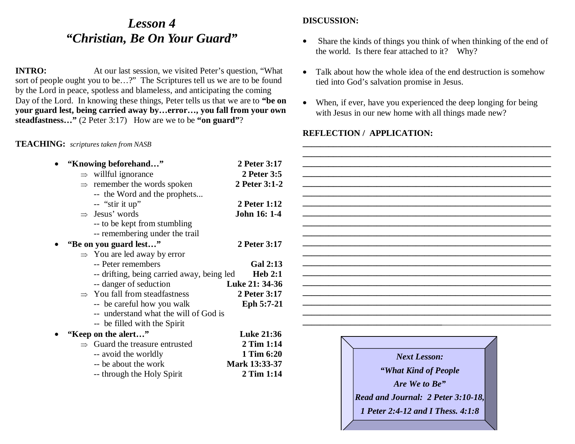## *Lesson 4 "Christian, Be On Your Guard"*

**INTRO:** At our last session, we visited Peter's question, "What sort of people ought you to be…?" The Scriptures tell us we are to be found by the Lord in peace, spotless and blameless, and anticipating the coming Day of the Lord. In knowing these things, Peter tells us that we are to **"be on your guard lest, being carried away by…error…, you fall from your own steadfastness…"** (2 Peter 3:17) How are we to be **"on guard"**?

#### **TEACHING:** *scriptures taken from NASB*

#### **DISCUSSION:**

- • Share the kinds of things you think of when thinking of the end of the world. Is there fear attached to it? Why?
- • Talk about how the whole idea of the end destruction is somehowtied into God's salvation promise in Jesus.
- • When, if ever, have you experienced the deep longing for being with Jesus in our new home with all things made new?

**\_\_\_\_\_\_\_\_\_\_\_\_\_\_\_\_\_\_\_\_\_\_\_\_\_\_\_\_\_\_\_\_\_\_\_\_\_\_\_\_\_\_\_\_\_\_\_\_\_\_\_\_\_\_\_\_\_**

*1 Peter 2:4-12 and I Thess. 4:1:8*

| "Knowing beforehand"                       | 2 Peter 3:17      |                                           |
|--------------------------------------------|-------------------|-------------------------------------------|
| $\Rightarrow$ willful ignorance            | 2 Peter 3:5       |                                           |
| remember the words spoken                  | 2 Peter 3:1-2     |                                           |
| -- the Word and the prophets               |                   |                                           |
| -- "stir it up"                            | 2 Peter 1:12      |                                           |
| $\Rightarrow$ Jesus' words                 | John 16: 1-4      |                                           |
| -- to be kept from stumbling               |                   |                                           |
| -- remembering under the trail             |                   |                                           |
| "Be on you guard lest"                     | 2 Peter 3:17      |                                           |
| $\Rightarrow$ You are led away by error    |                   |                                           |
| -- Peter remembers                         | <b>Gal 2:13</b>   |                                           |
| -- drifting, being carried away, being led | Heb 2:1           |                                           |
| -- danger of seduction                     | Luke 21: 34-36    |                                           |
| $\Rightarrow$ You fall from steadfastness  | 2 Peter 3:17      |                                           |
| -- be careful how you walk                 | Eph 5:7-21        |                                           |
| -- understand what the will of God is      |                   |                                           |
| -- be filled with the Spirit               |                   |                                           |
| "Keep on the alert"                        | <b>Luke 21:36</b> |                                           |
| Guard the treasure entrusted               | 2 Tim 1:14        |                                           |
| -- avoid the worldly                       | 1 Tim 6:20        | <b>Next Lesson:</b>                       |
| -- be about the work                       | Mark 13:33-37     |                                           |
| -- through the Holy Spirit                 | 2 Tim 1:14        | "What Kind of People"                     |
|                                            |                   | Are We to Be"                             |
|                                            |                   | <b>Read and Journal: 2 Peter 3:10-18,</b> |